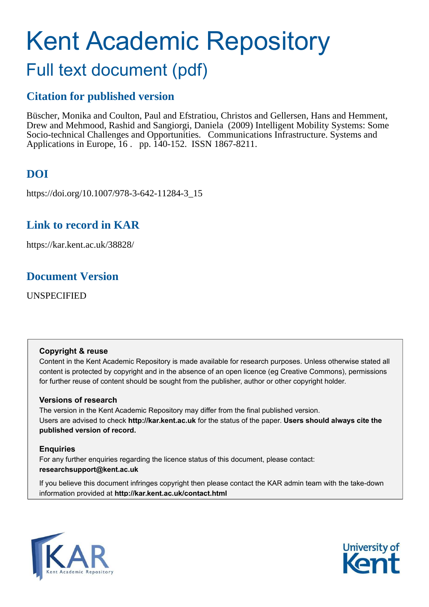# Kent Academic Repository

## Full text document (pdf)

## **Citation for published version**

Büscher, Monika and Coulton, Paul and Efstratiou, Christos and Gellersen, Hans and Hemment, Drew and Mehmood, Rashid and Sangiorgi, Daniela (2009) Intelligent Mobility Systems: Some Socio-technical Challenges and Opportunities. Communications Infrastructure. Systems and Applications in Europe, 16 . pp. 140-152. ISSN 1867-8211.

## **DOI**

https://doi.org/10.1007/978-3-642-11284-3\_15

## **Link to record in KAR**

https://kar.kent.ac.uk/38828/

## **Document Version**

UNSPECIFIED

#### **Copyright & reuse**

Content in the Kent Academic Repository is made available for research purposes. Unless otherwise stated all content is protected by copyright and in the absence of an open licence (eg Creative Commons), permissions for further reuse of content should be sought from the publisher, author or other copyright holder.

#### **Versions of research**

The version in the Kent Academic Repository may differ from the final published version. Users are advised to check **http://kar.kent.ac.uk** for the status of the paper. **Users should always cite the published version of record.**

#### **Enquiries**

For any further enquiries regarding the licence status of this document, please contact: **researchsupport@kent.ac.uk**

If you believe this document infringes copyright then please contact the KAR admin team with the take-down information provided at **http://kar.kent.ac.uk/contact.html**



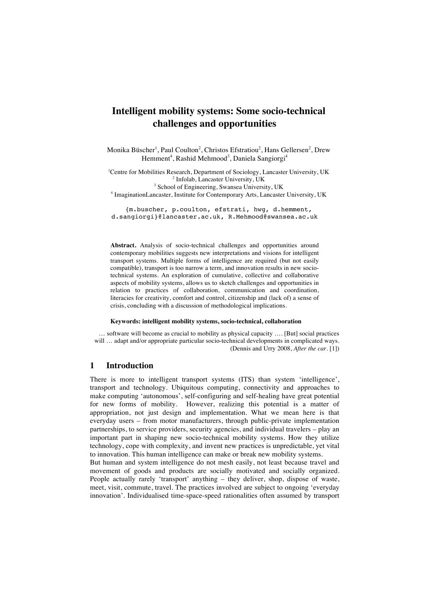#### **Intelligent mobility systems: Some socio-technical challenges and opportunities**

Monika Büscher<sup>1</sup>, Paul Coulton<sup>2</sup>, Christos Efstratiou<sup>2</sup>, Hans Gellersen<sup>2</sup>, Drew Hemment<sup>4</sup>, Rashid Mehmood<sup>3</sup>, Daniela Sangiorgi<sup>4</sup>

<sup>1</sup>Centre for Mobilities Research, Department of Sociology, Lancaster University, UK <sup>2</sup> Infolab, Lancaster University, UK <sup>3</sup> School of Engineering, Swansea University, UK

<sup>4</sup> ImaginationLancaster, Institute for Contemporary Arts, Lancaster University, UK

{m.buscher, p.coulton, efstrati, hwg, d.hemment, d.sangiorgi}@lancaster.ac.uk, R.Mehmood@swansea.ac.uk

**Abstract.** Analysis of socio-technical challenges and opportunities around contemporary mobilities suggests new interpretations and visions for intelligent transport systems. Multiple forms of intelligence are required (but not easily compatible), transport is too narrow a term, and innovation results in new sociotechnical systems. An exploration of cumulative, collective and collaborative aspects of mobility systems, allows us to sketch challenges and opportunities in relation to practices of collaboration, communication and coordination, literacies for creativity, comfort and control, citizenship and (lack of) a sense of crisis, concluding with a discussion of methodological implications.

#### **Keywords: intelligent mobility systems, socio-technical, collaboration**

… software will become as crucial to mobility as physical capacity …. [But] social practices will ... adapt and/or appropriate particular socio-technical developments in complicated ways. (Dennis and Urry 2008, *After the car*. [1])

#### **1 Introduction**

There is more to intelligent transport systems (ITS) than system 'intelligence', transport and technology. Ubiquitous computing, connectivity and approaches to make computing 'autonomous', self-configuring and self-healing have great potential for new forms of mobility. However, realizing this potential is a matter of appropriation, not just design and implementation. What we mean here is that everyday users – from motor manufacturers, through public-private implementation partnerships, to service providers, security agencies, and individual travelers – play an important part in shaping new socio-technical mobility systems. How they utilize technology, cope with complexity, and invent new practices is unpredictable, yet vital to innovation. This human intelligence can make or break new mobility systems.

But human and system intelligence do not mesh easily, not least because travel and movement of goods and products are socially motivated and socially organized. People actually rarely 'transport' anything – they deliver, shop, dispose of waste, meet, visit, commute, travel. The practices involved are subject to ongoing 'everyday innovation'. Individualised time-space-speed rationalities often assumed by transport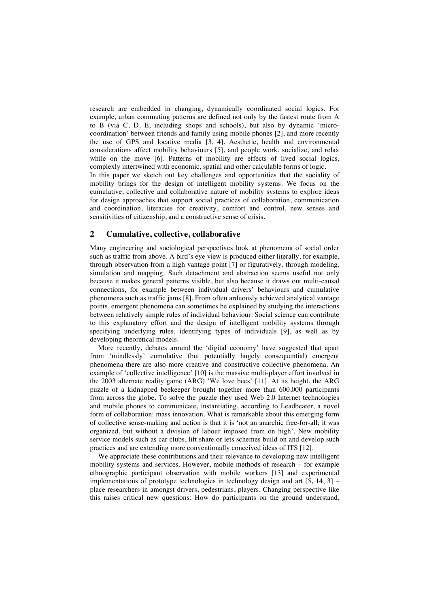research are embedded in changing, dynamically coordinated social logics. For example, urban commuting patterns are defined not only by the fastest route from A to B (via C, D, E, including shops and schools), but also by dynamic 'microcoordination' between friends and family using mobile phones [2], and more recently the use of GPS and locative media [3, 4]. Aesthetic, health and environmental considerations affect mobility behaviours [5], and people work, socialize, and relax while on the move [6]. Patterns of mobility are effects of lived social logics, complexly intertwined with economic, spatial and other calculable forms of logic.

In this paper we sketch out key challenges and opportunities that the sociality of mobility brings for the design of intelligent mobility systems. We focus on the cumulative, collective and collaborative nature of mobility systems to explore ideas for design approaches that support social practices of collaboration, communication and coordination, literacies for creativity, comfort and control, new senses and sensitivities of citizenship, and a constructive sense of crisis.

#### **2 Cumulative, collective, collaborative**

Many engineering and sociological perspectives look at phenomena of social order such as traffic from above. A bird's eye view is produced either literally, for example, through observation from a high vantage point [7] or figuratively, through modeling, simulation and mapping. Such detachment and abstraction seems useful not only because it makes general patterns visible, but also because it draws out multi-causal connections, for example between individual drivers' behaviours and cumulative phenomena such as traffic jams [8]. From often arduously achieved analytical vantage points, emergent phenomena can sometimes be explained by studying the interactions between relatively simple rules of individual behaviour. Social science can contribute to this explanatory effort and the design of intelligent mobility systems through specifying underlying rules, identifying types of individuals [9], as well as by developing theoretical models.

More recently, debates around the 'digital economy' have suggested that apart from 'mindlessly' cumulative (but potentially hugely consequential) emergent phenomena there are also more creative and constructive collective phenomena. An example of 'collective intelligence' [10] is the massive multi-player effort involved in the 2003 alternate reality game (ARG) 'We love bees' [11]. At its height, the ARG puzzle of a kidnapped beekeeper brought together more than 600,000 participants from across the globe. To solve the puzzle they used Web 2.0 Internet technologies and mobile phones to communicate, instantiating, according to Leadbeater, a novel form of collaboration: mass innovation. What is remarkable about this emerging form of collective sense-making and action is that it is 'not an anarchic free-for-all; it was organized, but without a division of labour imposed from on high'. New mobility service models such as car clubs, lift share or lets schemes build on and develop such practices and are extending more conventionally conceived ideas of ITS [12].

We appreciate these contributions and their relevance to developing new intelligent mobility systems and services. However, mobile methods of research – for example ethnographic participant observation with mobile workers [13] and experimental implementations of prototype technologies in technology design and art  $[5, 14, 3]$  – place researchers in amongst drivers, pedestrians, players. Changing perspective like this raises critical new questions: How do participants on the ground understand,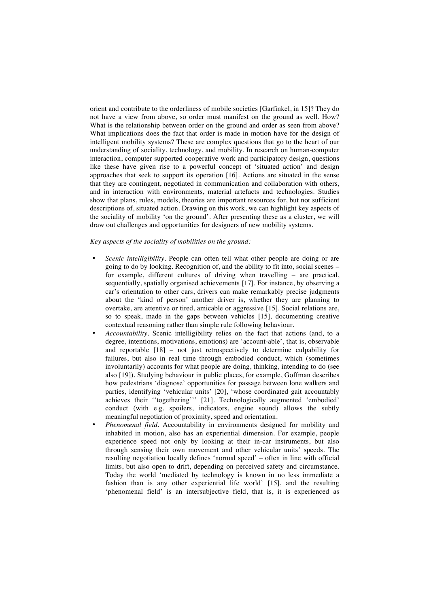orient and contribute to the orderliness of mobile societies [Garfinkel, in 15]? They do not have a view from above, so order must manifest on the ground as well. How? What is the relationship between order on the ground and order as seen from above? What implications does the fact that order is made in motion have for the design of intelligent mobility systems? These are complex questions that go to the heart of our understanding of sociality, technology, and mobility. In research on human-computer interaction, computer supported cooperative work and participatory design, questions like these have given rise to a powerful concept of 'situated action' and design approaches that seek to support its operation [16]. Actions are situated in the sense that they are contingent, negotiated in communication and collaboration with others, and in interaction with environments, material artefacts and technologies. Studies show that plans, rules, models, theories are important resources for, but not sufficient descriptions of, situated action. Drawing on this work, we can highlight key aspects of the sociality of mobility 'on the ground'. After presenting these as a cluster, we will draw out challenges and opportunities for designers of new mobility systems.

#### *Key aspects of the sociality of mobilities on the ground:*

- *Scenic intelligibility*. People can often tell what other people are doing or are going to do by looking. Recognition of, and the ability to fit into, social scenes – for example, different cultures of driving when travelling – are practical, sequentially, spatially organised achievements [17]. For instance, by observing a car's orientation to other cars, drivers can make remarkably precise judgments about the 'kind of person' another driver is, whether they are planning to overtake, are attentive or tired, amicable or aggressive [15]. Social relations are, so to speak, made in the gaps between vehicles [15], documenting creative contextual reasoning rather than simple rule following behaviour.
- Accountability. Scenic intelligibility relies on the fact that actions (and, to a degree, intentions, motivations, emotions) are 'account-able', that is, observable and reportable [18] – not just retrospectively to determine culpability for failures, but also in real time through embodied conduct, which (sometimes involuntarily) accounts for what people are doing, thinking, intending to do (see also [19]). Studying behaviour in public places, for example, Goffman describes how pedestrians 'diagnose' opportunities for passage between lone walkers and parties, identifying 'vehicular units' [20], 'whose coordinated gait accountably achieves their ''togethering''' [21]. Technologically augmented 'embodied' conduct (with e.g. spoilers, indicators, engine sound) allows the subtly meaningful negotiation of proximity, speed and orientation.
- *Phenomenal field.* Accountability in environments designed for mobility and inhabited in motion, also has an experiential dimension. For example, people experience speed not only by looking at their in-car instruments, but also through sensing their own movement and other vehicular units' speeds. The resulting negotiation locally defines 'normal speed' – often in line with official limits, but also open to drift, depending on perceived safety and circumstance. Today the world 'mediated by technology is known in no less immediate a fashion than is any other experiential life world' [15], and the resulting 'phenomenal field' is an intersubjective field, that is, it is experienced as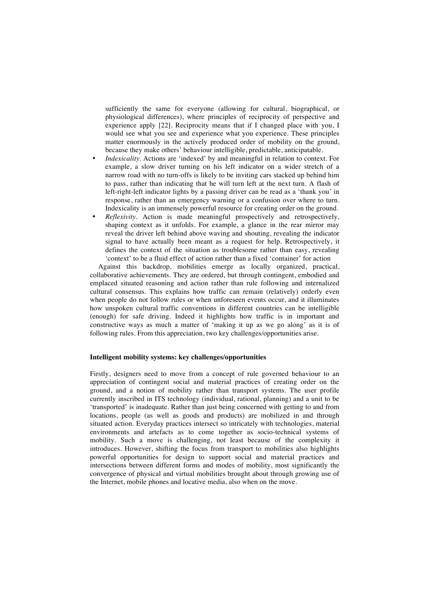sufficiently the same for everyone (allowing for cultural, biographical, or physiological differences), where principles of reciprocity of perspective and experience apply [22]. Reciprocity means that if I changed place with you, I would see what you see and experience what you experience. These principles matter enormously in the actively produced order of mobility on the ground, because they make others' behaviour intelligible, predictable, anticipatable.

- *Indexicality*. Actions are 'indexed' by and meaningful in relation to context. For example, a slow driver turning on his left indicator on a wider stretch of a narrow road with no turn-offs is likely to be inviting cars stacked up behind him to pass, rather than indicating that he will turn left at the next turn. A flash of left-right-left indicator lights by a passing driver can be read as a 'thank you' in response, rather than an emergency warning or a confusion over where to turn. Indexicality is an immensely powerful resource for creating order on the ground.
- *Reflexivity*. Action is made meaningful prospectively and retrospectively, shaping context as it unfolds. For example, a glance in the rear mirror may reveal the driver left behind above waving and shouting, revealing the indicator signal to have actually been meant as a request for help. Retrospectively, it defines the context of the situation as troublesome rather than easy, revealing 'context' to be a fluid effect of action rather than a fixed 'container' for action

Against this backdrop, mobilities emerge as locally organized, practical, collaborative achievements. They are ordered, but through contingent, embodied and emplaced situated reasoning and action rather than rule following and internalized cultural consensus. This explains how traffic can remain (relatively) orderly even when people do not follow rules or when unforeseen events occur, and it illuminates how unspoken cultural traffic conventions in different countries can be intelligible (enough) for safe driving. Indeed it highlights how traffic is in important and constructive ways as much a matter of 'making it up as we go along' as it is of following rules. From this appreciation, two key challenges/opportunities arise.

#### **Intelligent mobility systems: key challenges/opportunities**

Firstly, designers need to move from a concept of rule governed behaviour to an appreciation of contingent social and material practices of creating order on the ground, and a notion of mobility rather than transport systems. The user profile currently inscribed in ITS technology (individual, rational, planning) and a unit to be 'transported' is inadequate. Rather than just being concerned with getting to and from locations, people (as well as goods and products) are mobilized in and through situated action. Everyday practices intersect so intricately with technologies, material environments and artefacts as to come together as socio-technical systems of mobility. Such a move is challenging, not least because of the complexity it introduces. However, shifting the focus from transport to mobilities also highlights powerful opportunities for design to support social and material practices and intersections between different forms and modes of mobility, most significantly the convergence of physical and virtual mobilities brought about through growing use of the Internet, mobile phones and locative media, also when on the move.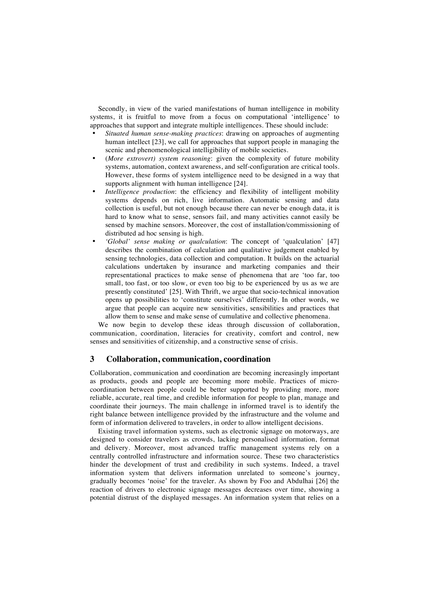Secondly, in view of the varied manifestations of human intelligence in mobility systems, it is fruitful to move from a focus on computational 'intelligence' to approaches that support and integrate multiple intelligences. These should include:

- ¥ *Situated human sense-making practices*: drawing on approaches of augmenting human intellect [23], we call for approaches that support people in managing the scenic and phenomenological intelligibility of mobile societies.
- (*More extrovert*) system reasoning: given the complexity of future mobility systems, automation, context awareness, and self-configuration are critical tools. However, these forms of system intelligence need to be designed in a way that supports alignment with human intelligence [24].
- *Intelligence production*: the efficiency and flexibility of intelligent mobility systems depends on rich, live information. Automatic sensing and data collection is useful, but not enough because there can never be enough data, it is hard to know what to sense, sensors fail, and many activities cannot easily be sensed by machine sensors. Moreover, the cost of installation/commissioning of distributed ad hoc sensing is high.
- ¥ *'Global' sense making or qualculation*: The concept of 'qualculation' [47] describes the combination of calculation and qualitative judgement enabled by sensing technologies, data collection and computation. It builds on the actuarial calculations undertaken by insurance and marketing companies and their representational practices to make sense of phenomena that are 'too far, too small, too fast, or too slow, or even too big to be experienced by us as we are presently constituted' [25]. With Thrift, we argue that socio-technical innovation opens up possibilities to 'constitute ourselves' differently. In other words, we argue that people can acquire new sensitivities, sensibilities and practices that allow them to sense and make sense of cumulative and collective phenomena.

We now begin to develop these ideas through discussion of collaboration, communication, coordination, literacies for creativity, comfort and control, new senses and sensitivities of citizenship, and a constructive sense of crisis.

#### **3 Collaboration, communication, coordination**

Collaboration, communication and coordination are becoming increasingly important as products, goods and people are becoming more mobile. Practices of microcoordination between people could be better supported by providing more, more reliable, accurate, real time, and credible information for people to plan, manage and coordinate their journeys. The main challenge in informed travel is to identify the right balance between intelligence provided by the infrastructure and the volume and form of information delivered to travelers, in order to allow intelligent decisions.

Existing travel information systems, such as electronic signage on motorways, are designed to consider travelers as crowds, lacking personalised information, format and delivery. Moreover, most advanced traffic management systems rely on a centrally controlled infrastructure and information source. These two characteristics hinder the development of trust and credibility in such systems. Indeed, a travel information system that delivers information unrelated to someone's journey, gradually becomes 'noise' for the traveler. As shown by Foo and Abdulhai [26] the reaction of drivers to electronic signage messages decreases over time, showing a potential distrust of the displayed messages. An information system that relies on a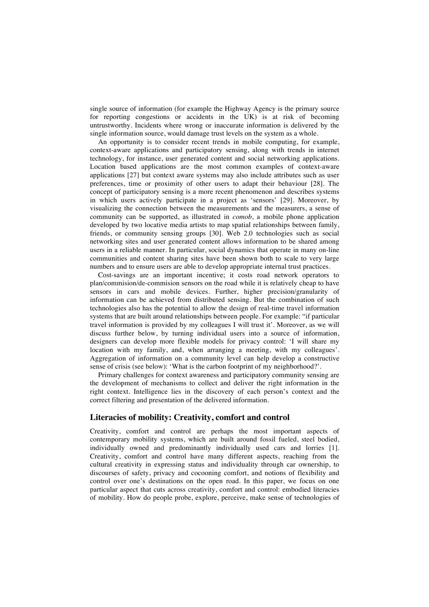single source of information (for example the Highway Agency is the primary source for reporting congestions or accidents in the UK) is at risk of becoming untrustworthy. Incidents where wrong or inaccurate information is delivered by the single information source, would damage trust levels on the system as a whole.

An opportunity is to consider recent trends in mobile computing, for example, context-aware applications and participatory sensing, along with trends in internet technology, for instance, user generated content and social networking applications. Location based applications are the most common examples of context-aware applications [27] but context aware systems may also include attributes such as user preferences, time or proximity of other users to adapt their behaviour [28]. The concept of participatory sensing is a more recent phenomenon and describes systems in which users actively participate in a project as 'sensors' [29]. Moreover, by visualizing the connection between the measurements and the measurers, a sense of community can be supported, as illustrated in *comob*, a mobile phone application developed by two locative media artists to map spatial relationships between family, friends, or community sensing groups [30]. Web 2.0 technologies such as social networking sites and user generated content allows information to be shared among users in a reliable manner. In particular, social dynamics that operate in many on-line communities and content sharing sites have been shown both to scale to very large numbers and to ensure users are able to develop appropriate internal trust practices.

Cost-savings are an important incentive; it costs road network operators to plan/commision/de-commision sensors on the road while it is relatively cheap to have sensors in cars and mobile devices. Further, higher precision/granularity of information can be achieved from distributed sensing. But the combination of such technologies also has the potential to allow the design of real-time travel information systems that are built around relationships between people. For example: "if particular travel information is provided by my colleagues I will trust it'. Moreover, as we will discuss further below, by turning individual users into a source of information, designers can develop more flexible models for privacy control: 'I will share my location with my family, and, when arranging a meeting, with my colleagues'. Aggregation of information on a community level can help develop a constructive sense of crisis (see below): 'What is the carbon footprint of my neighborhood?'.

Primary challenges for context awareness and participatory community sensing are the development of mechanisms to collect and deliver the right information in the right context. Intelligence lies in the discovery of each person's context and the correct filtering and presentation of the delivered information.

#### **Literacies of mobility: Creativity, comfort and control**

Creativity, comfort and control are perhaps the most important aspects of contemporary mobility systems, which are built around fossil fueled, steel bodied, individually owned and predominantly individually used cars and lorries [1]. Creativity, comfort and control have many different aspects, reaching from the cultural creativity in expressing status and individuality through car ownership, to discourses of safety, privacy and cocooning comfort, and notions of flexibility and control over one's destinations on the open road. In this paper, we focus on one particular aspect that cuts across creativity, comfort and control: embodied literacies of mobility. How do people probe, explore, perceive, make sense of technologies of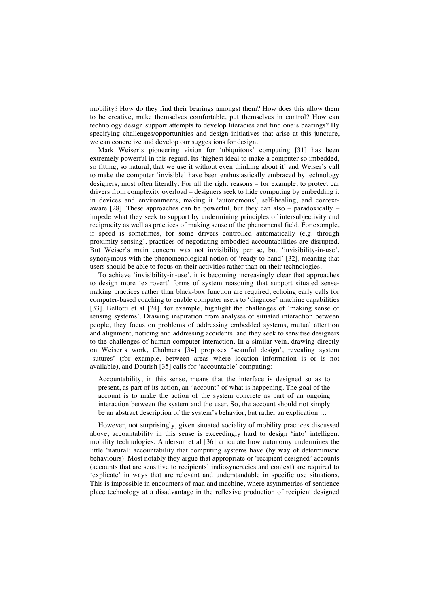mobility? How do they find their bearings amongst them? How does this allow them to be creative, make themselves comfortable, put themselves in control? How can technology design support attempts to develop literacies and find one's bearings? By specifying challenges/opportunities and design initiatives that arise at this juncture, we can concretize and develop our suggestions for design.

Mark Weiser's pioneering vision for 'ubiquitous' computing [31] has been extremely powerful in this regard. Its 'highest ideal to make a computer so imbedded, so fitting, so natural, that we use it without even thinking about it' and Weiser's call to make the computer 'invisible' have been enthusiastically embraced by technology designers, most often literally. For all the right reasons – for example, to protect car drivers from complexity overload – designers seek to hide computing by embedding it in devices and environments, making it 'autonomous', self-healing, and contextaware  $[28]$ . These approaches can be powerful, but they can also – paradoxically – impede what they seek to support by undermining principles of intersubjectivity and reciprocity as well as practices of making sense of the phenomenal field. For example, if speed is sometimes, for some drivers controlled automatically (e.g. through proximity sensing), practices of negotiating embodied accountabilities are disrupted. But Weiser's main concern was not invisibility per se, but 'invisibility-in-use', synonymous with the phenomenological notion of 'ready-to-hand' [32], meaning that users should be able to focus on their activities rather than on their technologies.

To achieve 'invisibility-in-use', it is becoming increasingly clear that approaches to design more 'extrovert' forms of system reasoning that support situated sensemaking practices rather than black-box function are required, echoing early calls for computer-based coaching to enable computer users to 'diagnose' machine capabilities [33]. Bellotti et al [24], for example, highlight the challenges of 'making sense of sensing systems'. Drawing inspiration from analyses of situated interaction between people, they focus on problems of addressing embedded systems, mutual attention and alignment, noticing and addressing accidents, and they seek to sensitise designers to the challenges of human-computer interaction. In a similar vein, drawing directly on Weiser's work, Chalmers [34] proposes 'seamful design', revealing system 'sutures' (for example, between areas where location information is or is not available), and Dourish [35] calls for 'accountable' computing:

Accountability, in this sense, means that the interface is designed so as to present, as part of its action, an "account" of what is happening. The goal of the account is to make the action of the system concrete as part of an ongoing interaction between the system and the user. So, the account should not simply be an abstract description of the system's behavior, but rather an explication …

However, not surprisingly, given situated sociality of mobility practices discussed above, accountability in this sense is exceedingly hard to design 'into' intelligent mobility technologies. Anderson et al [36] articulate how autonomy undermines the little 'natural' accountability that computing systems have (by way of deterministic behaviours). Most notably they argue that appropriate or 'recipient designed' accounts (accounts that are sensitive to recipients' indiosyncracies and context) are required to 'explicate' in ways that are relevant and understandable in specific use situations. This is impossible in encounters of man and machine, where asymmetries of sentience place technology at a disadvantage in the reflexive production of recipient designed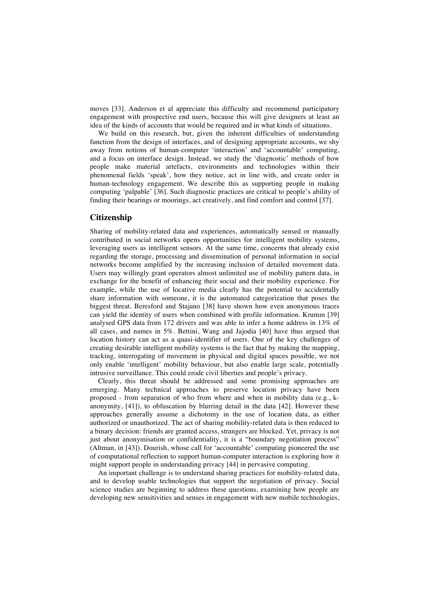moves [33]. Anderson et al appreciate this difficulty and recommend participatory engagement with prospective end users, because this will give designers at least an idea of the kinds of accounts that would be required and in what kinds of situations.

We build on this research, but, given the inherent difficulties of understanding function from the design of interfaces, and of designing appropriate accounts, we shy away from notions of human-computer 'interaction' and 'accountable' computing, and a focus on interface design. Instead, we study the 'diagnostic' methods of how people make material artefacts, environments and technologies within their phenomenal fields 'speak', how they notice, act in line with, and create order in human-technology engagement. We describe this as supporting people in making computing 'palpable' [36]. Such diagnostic practices are critical to people's ability of finding their bearings or moorings, act creatively, and find comfort and control [37].

#### **Citizenship**

Sharing of mobility-related data and experiences, automatically sensed or manually contributed in social networks opens opportunities for intelligent mobility systems, leveraging users as intelligent sensors. At the same time, concerns that already exist regarding the storage, processing and dissemination of personal information in social networks become amplified by the increasing inclusion of detailed movement data. Users may willingly grant operators almost unlimited use of mobility pattern data, in exchange for the benefit of enhancing their social and their mobility experience. For example, while the use of locative media clearly has the potential to accidentally share information with someone, it is the automated categorization that poses the biggest threat. Beresford and Stajano [38] have shown how even anonymous traces can yield the identity of users when combined with profile information. Krumm [39] analysed GPS data from 172 drivers and was able to infer a home address in 13% of all cases, and names in 5%. Bettini, Wang and Jajodia [40] have thus argued that location history can act as a quasi-identifier of users. One of the key challenges of creating desirable intelligent mobility systems is the fact that by making the mapping, tracking, interrogating of movement in physical and digital spaces possible, we not only enable 'intelligent' mobility behaviour, but also enable large scale, potentially intrusive surveillance. This could erode civil liberties and people's privacy.

Clearly, this threat should be addressed and some promising approaches are emerging. Many technical approaches to preserve location privacy have been proposed - from separation of who from where and when in mobility data (e.g., kanonymity, [41]), to obfuscation by blurring detail in the data [42]. However these approaches generally assume a dichotomy in the use of location data, as either authorized or unauthorized. The act of sharing mobility-related data is then reduced to a binary decision: friends are granted access, strangers are blocked. Yet, privacy is not just about anonymisation or confidentiality, it is a "boundary negotiation process" (Altman, in [43]). Dourish, whose call for 'accountable' computing pioneered the use of computational reflection to support human-computer interaction is exploring how it might support people in understanding privacy [44] in pervasive computing.

An important challenge is to understand sharing practices for mobility-related data, and to develop usable technologies that support the negotiation of privacy. Social science studies are beginning to address these questions, examining how people are developing new sensitivities and senses in engagement with new mobile technologies,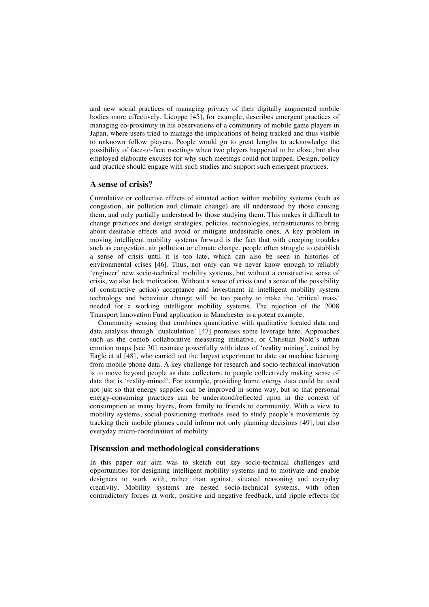and new social practices of managing privacy of their digitally augmented mobile bodies more effectively. Licoppe [45], for example, describes emergent practices of managing co-proximity in his observations of a community of mobile game players in Japan, where users tried to manage the implications of being tracked and thus visible to unknown fellow players. People would go to great lengths to acknowledge the possibility of face-to-face meetings when two players happened to be close, but also employed elaborate excuses for why such meetings could not happen. Design, policy and practice should engage with such studies and support such emergent practices.

#### **A sense of crisis?**

Cumulative or collective effects of situated action within mobility systems (such as congestion, air pollution and climate change) are ill understood by those causing them, and only partially understood by those studying them. This makes it difficult to change practices and design strategies, policies, technologies, infrastructures to bring about desirable effects and avoid or mitigate undesirable ones. A key problem in moving intelligent mobility systems forward is the fact that with creeping troubles such as congestion, air pollution or climate change, people often struggle to establish a sense of crisis until it is too late, which can also be seen in histories of environmental crises [46]. Thus, not only can we never know enough to reliably 'engineer' new socio-technical mobility systems, but without a constructive sense of crisis, we also lack motivation. Without a sense of crisis (and a sense of the possibility of constructive action) acceptance and investment in intelligent mobility system technology and behaviour change will be too patchy to make the 'critical mass' needed for a working intelligent mobility systems. The rejection of the 2008 Transport Innovation Fund application in Manchester is a potent example.

Community sensing that combines quantitative with qualitative located data and data analysis through 'qualculation' [47] promises some leverage here. Approaches such as the comob collaborative measuring initiative, or Christian Nold's urban emotion maps [see 30] resonate powerfully with ideas of 'reality mining', coined by Eagle et al [48], who carried out the largest experiment to date on machine learning from mobile phone data. A key challenge for research and socio-technical innovation is to move beyond people as data collectors, to people collectively making sense of data that is 'reality-mined'. For example, providing home energy data could be used not just so that energy supplies can be improved in some way, but so that personal energy-consuming practices can be understood/reflected upon in the context of consumption at many layers, from family to friends to community. With a view to mobility systems, social positioning methods used to study people's movements by tracking their mobile phones could inform not only planning decisions [49], but also everyday micro-coordination of mobility.

#### **Discussion and methodological considerations**

In this paper our aim was to sketch out key socio-technical challenges and opportunities for designing intelligent mobility systems and to motivate and enable designers to work with, rather than against, situated reasoning and everyday creativity. Mobility systems are nested socio-technical systems, with often contradictory forces at work, positive and negative feedback, and ripple effects for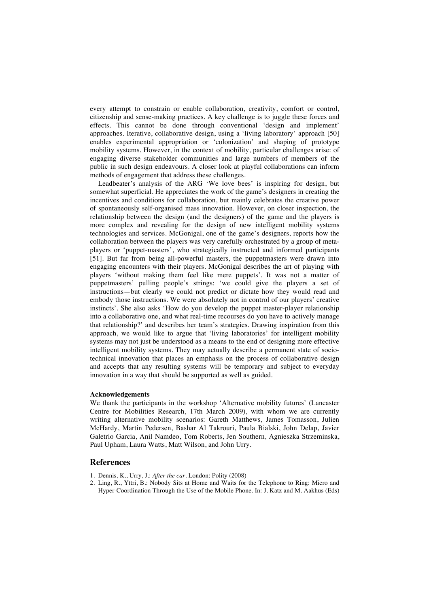every attempt to constrain or enable collaboration, creativity, comfort or control, citizenship and sense-making practices. A key challenge is to juggle these forces and effects. This cannot be done through conventional 'design and implement' approaches. Iterative, collaborative design, using a 'living laboratory' approach [50] enables experimental appropriation or 'colonization' and shaping of prototype mobility systems. However, in the context of mobility, particular challenges arise: of engaging diverse stakeholder communities and large numbers of members of the public in such design endeavours. A closer look at playful collaborations can inform methods of engagement that address these challenges.

Leadbeater's analysis of the ARG 'We love bees' is inspiring for design, but somewhat superficial. He appreciates the work of the game's designers in creating the incentives and conditions for collaboration, but mainly celebrates the creative power of spontaneously self-organised mass innovation. However, on closer inspection, the relationship between the design (and the designers) of the game and the players is more complex and revealing for the design of new intelligent mobility systems technologies and services. McGonigal, one of the game's designers, reports how the collaboration between the players was very carefully orchestrated by a group of metaplayers or 'puppet-masters', who strategically instructed and informed participants [51]. But far from being all-powerful masters, the puppetmasters were drawn into engaging encounters with their players. McGonigal describes the art of playing with players 'without making them feel like mere puppets'. It was not a matter of puppetmasters' pulling people's strings: 'we could give the players a set of instructions—but clearly we could not predict or dictate how they would read and embody those instructions. We were absolutely not in control of our players' creative instincts'. She also asks 'How do you develop the puppet master-player relationship into a collaborative one, and what real-time recourses do you have to actively manage that relationship?' and describes her team's strategies. Drawing inspiration from this approach, we would like to argue that 'living laboratories' for intelligent mobility systems may not just be understood as a means to the end of designing more effective intelligent mobility systems. They may actually describe a permanent state of sociotechnical innovation that places an emphasis on the process of collaborative design and accepts that any resulting systems will be temporary and subject to everyday innovation in a way that should be supported as well as guided.

#### **Acknowledgements**

We thank the participants in the workshop 'Alternative mobility futures' (Lancaster Centre for Mobilities Research, 17th March 2009), with whom we are currently writing alternative mobility scenarios: Gareth Matthews, James Tomasson, Julien McHardy, Martin Pedersen, Bashar Al Takrouri, Paula Bialski, John Delap, Javier Galetrio Garcia, Anil Namdeo, Tom Roberts, Jen Southern, Agnieszka Strzeminska, Paul Upham, Laura Watts, Matt Wilson, and John Urry.

#### **References**

- 1. Dennis, K., Urry, J.: *After the car*. London: Polity (2008)
- 2. Ling, R., Yttri, B.: Nobody Sits at Home and Waits for the Telephone to Ring: Micro and Hyper-Coordination Through the Use of the Mobile Phone. In: J. Katz and M. Aakhus (Eds)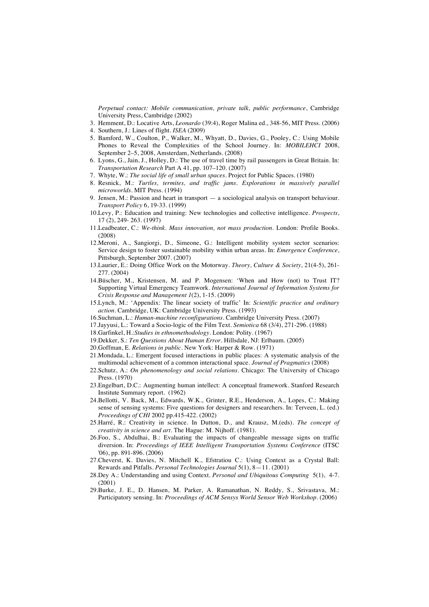*Perpetual contact: Mobile communication, private talk, public performance*, Cambridge University Press, Cambridge (2002)

- 3. Hemment, D.: Locative Arts, *Leonardo* (39:4), Roger Malina ed., 348-56, MIT Press. (2006)
- 4. Southern, J.: Lines of flight. *ISEA* (2009)
- 5. Bamford, W., Coulton, P., Walker, M., Whyatt, D., Davies, G., Pooley, C.: Using Mobile Phones to Reveal the Complexities of the School Journey. In: *MOBILEHCI* 2008, September 2–5, 2008, Amsterdam, Netherlands. (2008)
- 6. Lyons, G., Jain, J., Holley, D.: The use of travel time by rail passengers in Great Britain. In: *Transportation Research* Part A 41, pp. 107–120. (2007)
- 7. Whyte, W.: *The social life of small urban spaces*. Project for Public Spaces. (1980)
- 8. Resnick, M.: *Turtles, termites, and traffic jams. Explorations in massively parallel microworlds*. MIT Press. (1994)
- 9. Jensen, M.: Passion and heart in transport a sociological analysis on transport behaviour. *Transport Policy* 6, 19-33. (1999)
- 10.Levy, P.: Education and training: New technologies and collective intelligence. *Prospects*, 17 (2), 249- 263. (1997)
- 11.Leadbeater, C.: *We-think. Mass innovation, not mass production*. London: Profile Books. (2008)
- 12.Meroni, A., Sangiorgi, D., Simeone, G.: Intelligent mobility system sector scenarios: Service design to foster sustainable mobility within urban areas. In: *Emergence Conference*, Pittsburgh, September 2007. (2007)
- 13.Laurier, E.: Doing Office Work on the Motorway. *Theory, Culture & Society*, 21(4-5), 261- 277. (2004)
- 14.Büscher, M., Kristensen, M. and P. Mogensen: 'When and How (not) to Trust IT? Supporting Virtual Emergency Teamwork. *International Journal of Information Systems for Crisis Response and Management 1*(2), 1-15. (2009)
- 15.Lynch, M.: 'Appendix: The linear society of traffic' In: *Scientific practice and ordinary action*. Cambridge, UK: Cambridge University Press. (1993)
- 16.Suchman, L.: *Human-machine reconfigurations*. Cambridge University Press. (2007)
- 17.Jayyusi, L.: Toward a Socio-logic of the Film Text. *Semiotica* 68 (3/4), 271-296. (1988)
- 18.Garfinkel, H.:*Studies in ethnomethodology*. London: Polity. (1967)
- 19.Dekker, S.: *Ten Questions About Human Error*. Hillsdale, NJ: Erlbaum. (2005)
- 20.Goffman, E. *Relations in public.* New York: Harper & Row. (1971)
- 21.Mondada, L.: Emergent focused interactions in public places: A systematic analysis of the multimodal achievement of a common interactional space. *Journal of Pragmatics* (2008)
- 22.Schutz, A.: *On phenomenology and social relations*. Chicago: The University of Chicago Press. (1970)
- 23.Engelbart, D.C.: Augmenting human intellect: A conceptual framework. Stanford Research Institute Summary report. (1962)
- 24.Bellotti, V. Back, M., Edwards, W.K., Grinter, R.E., Henderson, A., Lopes, C.: Making sense of sensing systems: Five questions for designers and researchers. In: Terveen, L. (ed.) *Proceedings of CHI* 2002 pp.415-422. (2002)
- 25.Harré, R.: Creativity in science. In Dutton, D., and Krausz, M.(eds). *The concept of creativity in science and art*. The Hague: M. Nijhoff. (1981).
- 26.Foo, S., Abdulhai, B.: Evaluating the impacts of changeable message signs on traffic diversion. In: *Proceedings of IEEE Intelligent Transportation Systems Conference* (ITSC '06), pp. 891-896. (2006)
- 27.Cheverst, K. Davies, N. Mitchell K., Efstratiou C.: Using Context as a Crystal Ball: Rewards and Pitfalls. *Personal Technologies Journal* 5(1), 8—11. (2001)
- 28.Dey A.: Understanding and using Context. *Personal and Ubiquitous Computing* 5(1), 4-7. (2001)
- 29.Burke, J. E., D. Hansen, M. Parker, A. Ramanathan, N. Reddy, S., Srivastava, M.: Participatory sensing. In: *Proceedings of ACM Sensys World Sensor Web Workshop*. (2006)